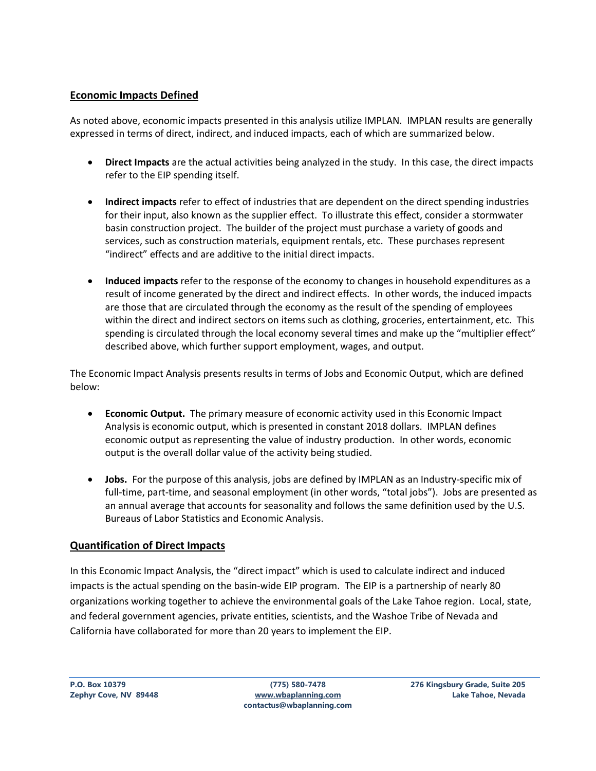#### **Economic Impacts Defined**

As noted above, economic impacts presented in this analysis utilize IMPLAN. IMPLAN results are generally expressed in terms of direct, indirect, and induced impacts, each of which are summarized below.

- **Direct Impacts** are the actual activities being analyzed in the study. In this case, the direct impacts refer to the EIP spending itself.
- **Indirect impacts** refer to effect of industries that are dependent on the direct spending industries for their input, also known as the supplier effect. To illustrate this effect, consider a stormwater basin construction project. The builder of the project must purchase a variety of goods and services, such as construction materials, equipment rentals, etc. These purchases represent "indirect" effects and are additive to the initial direct impacts.
- **Induced impacts** refer to the response of the economy to changes in household expenditures as a result of income generated by the direct and indirect effects. In other words, the induced impacts are those that are circulated through the economy as the result of the spending of employees within the direct and indirect sectors on items such as clothing, groceries, entertainment, etc. This spending is circulated through the local economy several times and make up the "multiplier effect" described above, which further support employment, wages, and output.

The Economic Impact Analysis presents results in terms of Jobs and Economic Output, which are defined below:

- **Economic Output.** The primary measure of economic activity used in this Economic Impact Analysis is economic output, which is presented in constant 2018 dollars. IMPLAN defines economic output as representing the value of industry production. In other words, economic output is the overall dollar value of the activity being studied.
- **Jobs.** For the purpose of this analysis, jobs are defined by IMPLAN as an Industry-specific mix of full-time, part-time, and seasonal employment (in other words, "total jobs"). Jobs are presented as an annual average that accounts for seasonality and follows the same definition used by the U.S. Bureaus of Labor Statistics and Economic Analysis.

### **Quantification of Direct Impacts**

In this Economic Impact Analysis, the "direct impact" which is used to calculate indirect and induced impacts is the actual spending on the basin-wide EIP program. The EIP is a partnership of nearly 80 organizations working together to achieve the environmental goals of the Lake Tahoe region. Local, state, and federal government agencies, private entities, scientists, and the Washoe Tribe of Nevada and California have collaborated for more than 20 years to implement the EIP.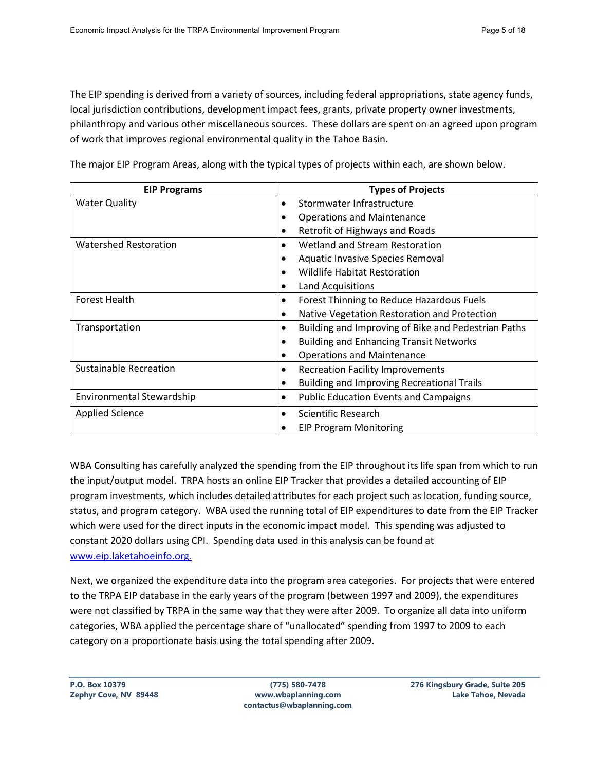The EIP spending is derived from a variety of sources, including federal appropriations, state agency funds, local jurisdiction contributions, development impact fees, grants, private property owner investments, philanthropy and various other miscellaneous sources. These dollars are spent on an agreed upon program of work that improves regional environmental quality in the Tahoe Basin.

The major EIP Program Areas, along with the typical types of projects within each, are shown below.

| <b>EIP Programs</b>           | <b>Types of Projects</b>                                    |  |  |
|-------------------------------|-------------------------------------------------------------|--|--|
| <b>Water Quality</b>          | Stormwater Infrastructure<br>٠                              |  |  |
|                               | <b>Operations and Maintenance</b><br>٠                      |  |  |
|                               | Retrofit of Highways and Roads<br>٠                         |  |  |
| <b>Watershed Restoration</b>  | Wetland and Stream Restoration<br>$\bullet$                 |  |  |
|                               | Aquatic Invasive Species Removal<br>٠                       |  |  |
|                               | <b>Wildlife Habitat Restoration</b>                         |  |  |
|                               | <b>Land Acquisitions</b>                                    |  |  |
| <b>Forest Health</b>          | Forest Thinning to Reduce Hazardous Fuels<br>$\bullet$      |  |  |
|                               | Native Vegetation Restoration and Protection<br>$\bullet$   |  |  |
| Transportation                | Building and Improving of Bike and Pedestrian Paths<br>٠    |  |  |
|                               | <b>Building and Enhancing Transit Networks</b><br>$\bullet$ |  |  |
|                               | <b>Operations and Maintenance</b><br>٠                      |  |  |
| <b>Sustainable Recreation</b> | <b>Recreation Facility Improvements</b><br>٠                |  |  |
|                               | <b>Building and Improving Recreational Trails</b><br>٠      |  |  |
| Environmental Stewardship     | <b>Public Education Events and Campaigns</b><br>٠           |  |  |
| <b>Applied Science</b>        | Scientific Research<br>$\bullet$                            |  |  |
|                               | <b>EIP Program Monitoring</b>                               |  |  |

WBA Consulting has carefully analyzed the spending from the EIP throughout its life span from which to run the input/output model. TRPA hosts an online EIP Tracker that provides a detailed accounting of EIP program investments, which includes detailed attributes for each project such as location, funding source, status, and program category. WBA used the running total of EIP expenditures to date from the EIP Tracker which were used for the direct inputs in the economic impact model. This spending was adjusted to constant 2020 dollars using CPI. Spending data used in this analysis can be found at [www.eip.laketahoeinfo.org.](http://www.eip.laketahoeinfo.org/)

Next, we organized the expenditure data into the program area categories. For projects that were entered to the TRPA EIP database in the early years of the program (between 1997 and 2009), the expenditures were not classified by TRPA in the same way that they were after 2009. To organize all data into uniform categories, WBA applied the percentage share of "unallocated" spending from 1997 to 2009 to each category on a proportionate basis using the total spending after 2009.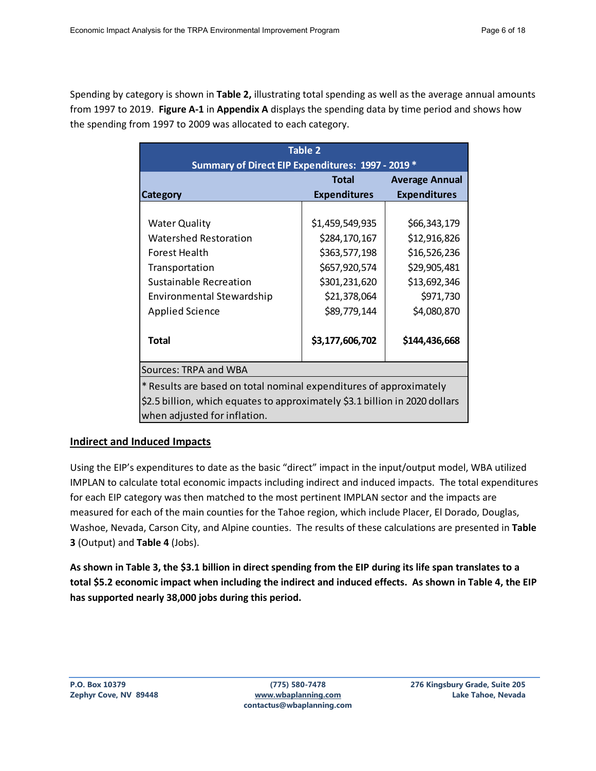Spending by category is shown in **Table 2,** illustrating total spending as well as the average annual amounts from 1997 to 2019. **Figure A-1** in **Appendix A** displays the spending data by time period and shows how the spending from 1997 to 2009 was allocated to each category.

| Table 2<br>Summary of Direct EIP Expenditures: 1997 - 2019 *                                                                                                                      |                                                                                                                     |                                                                                                          |  |  |  |
|-----------------------------------------------------------------------------------------------------------------------------------------------------------------------------------|---------------------------------------------------------------------------------------------------------------------|----------------------------------------------------------------------------------------------------------|--|--|--|
| Category                                                                                                                                                                          | Total<br><b>Expenditures</b>                                                                                        | <b>Average Annual</b><br><b>Expenditures</b>                                                             |  |  |  |
| <b>Water Quality</b><br><b>Watershed Restoration</b><br><b>Forest Health</b><br>Transportation<br>Sustainable Recreation<br>Environmental Stewardship<br><b>Applied Science</b>   | \$1,459,549,935<br>\$284,170,167<br>\$363,577,198<br>\$657,920,574<br>\$301,231,620<br>\$21,378,064<br>\$89,779,144 | \$66,343,179<br>\$12,916,826<br>\$16,526,236<br>\$29,905,481<br>\$13,692,346<br>\$971,730<br>\$4,080,870 |  |  |  |
| <b>Total</b>                                                                                                                                                                      | \$3,177,606,702                                                                                                     | \$144,436,668                                                                                            |  |  |  |
| Sources: TRPA and WBA                                                                                                                                                             |                                                                                                                     |                                                                                                          |  |  |  |
| * Results are based on total nominal expenditures of approximately<br>\$2.5 billion, which equates to approximately \$3.1 billion in 2020 dollars<br>when adjusted for inflation. |                                                                                                                     |                                                                                                          |  |  |  |

### **Indirect and Induced Impacts**

Using the EIP's expenditures to date as the basic "direct" impact in the input/output model, WBA utilized IMPLAN to calculate total economic impacts including indirect and induced impacts. The total expenditures for each EIP category was then matched to the most pertinent IMPLAN sector and the impacts are measured for each of the main counties for the Tahoe region, which include Placer, El Dorado, Douglas, Washoe, Nevada, Carson City, and Alpine counties. The results of these calculations are presented in **Table 3** (Output) and **Table 4** (Jobs).

**As shown in Table 3, the \$3.1 billion in direct spending from the EIP during its life span translates to a total \$5.2 economic impact when including the indirect and induced effects. As shown in Table 4, the EIP has supported nearly 38,000 jobs during this period.**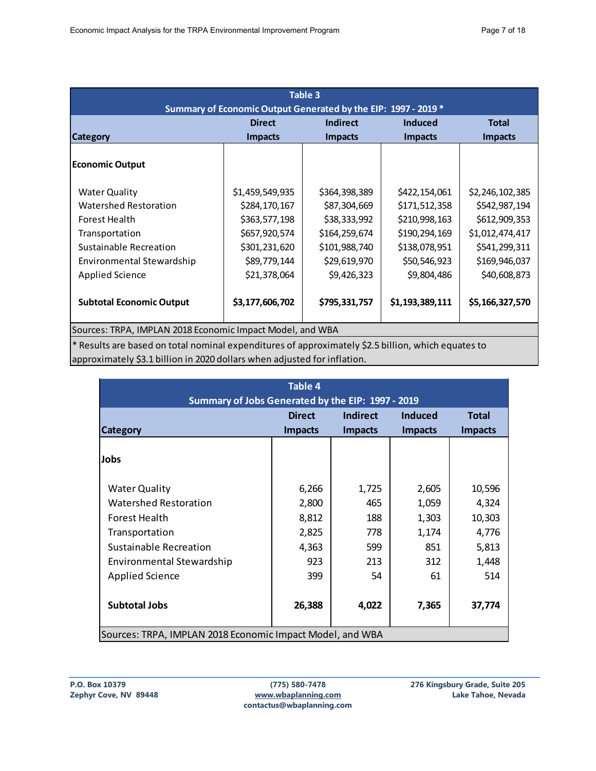| <b>Table 3</b>                                                     |                 |                |                 |                 |  |  |
|--------------------------------------------------------------------|-----------------|----------------|-----------------|-----------------|--|--|
| Summary of Economic Output Generated by the EIP: 1997 - 2019 *     |                 |                |                 |                 |  |  |
| <b>Direct</b><br><b>Indirect</b><br><b>Induced</b><br><b>Total</b> |                 |                |                 |                 |  |  |
| <b>Category</b>                                                    | <b>Impacts</b>  | <b>Impacts</b> | <b>Impacts</b>  | <b>Impacts</b>  |  |  |
|                                                                    |                 |                |                 |                 |  |  |
| <b>Economic Output</b>                                             |                 |                |                 |                 |  |  |
|                                                                    |                 |                |                 |                 |  |  |
| <b>Water Quality</b>                                               | \$1,459,549,935 | \$364,398,389  | \$422,154,061   | \$2,246,102,385 |  |  |
| Watershed Restoration                                              | \$284,170,167   | \$87,304,669   | \$171,512,358   | \$542,987,194   |  |  |
| Forest Health                                                      | \$363,577,198   | \$38,333,992   | \$210,998,163   | \$612,909,353   |  |  |
| Transportation                                                     | \$657,920,574   | \$164,259,674  | \$190,294,169   | \$1,012,474,417 |  |  |
| Sustainable Recreation                                             | \$301,231,620   | \$101,988,740  | \$138,078,951   | \$541,299,311   |  |  |
| Environmental Stewardship                                          | \$89,779,144    | \$29,619,970   | \$50,546,923    | \$169,946,037   |  |  |
| Applied Science                                                    | \$21,378,064    | \$9,426,323    | \$9,804,486     | \$40,608,873    |  |  |
|                                                                    |                 |                |                 |                 |  |  |
| <b>Subtotal Economic Output</b>                                    | \$3,177,606,702 | \$795,331,757  | \$1,193,389,111 | \$5,166,327,570 |  |  |
|                                                                    |                 |                |                 |                 |  |  |
| Sources: TRPA, IMPLAN 2018 Economic Impact Model, and WBA          |                 |                |                 |                 |  |  |

\* Results are based on total nominal expenditures of approximately \$2.5 billion, which equates to approximately \$3.1 billion in 2020 dollars when adjusted for inflation.

| Table 4                                                   |                |                |                |                |  |
|-----------------------------------------------------------|----------------|----------------|----------------|----------------|--|
| Summary of Jobs Generated by the EIP: 1997 - 2019         |                |                |                |                |  |
| <b>Direct</b><br>Indirect<br>Induced<br><b>Total</b>      |                |                |                |                |  |
| <b>Category</b>                                           | <b>Impacts</b> | <b>Impacts</b> | <b>Impacts</b> | <b>Impacts</b> |  |
|                                                           |                |                |                |                |  |
| Jobs                                                      |                |                |                |                |  |
|                                                           |                |                |                |                |  |
| <b>Water Quality</b>                                      | 6,266          | 1,725          | 2,605          | 10,596         |  |
| <b>Watershed Restoration</b>                              | 2,800          | 465            | 1,059          | 4,324          |  |
| Forest Health                                             | 8,812          | 188            | 1,303          | 10,303         |  |
| Transportation                                            | 2,825          | 778            | 1,174          | 4,776          |  |
| Sustainable Recreation                                    | 4,363          | 599            | 851            | 5,813          |  |
| Environmental Stewardship                                 | 923            | 213            | 312            | 1,448          |  |
| <b>Applied Science</b>                                    | 399            | 54             | 61             | 514            |  |
|                                                           |                |                |                |                |  |
| <b>Subtotal Jobs</b>                                      | 26,388         | 4,022          | 7,365          | 37,774         |  |
|                                                           |                |                |                |                |  |
| Sources: TRPA, IMPLAN 2018 Economic Impact Model, and WBA |                |                |                |                |  |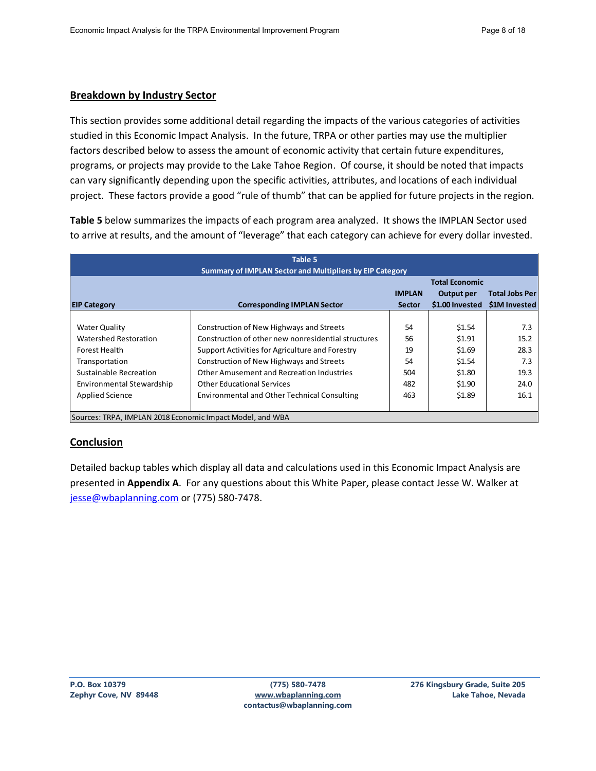### **Breakdown by Industry Sector**

This section provides some additional detail regarding the impacts of the various categories of activities studied in this Economic Impact Analysis. In the future, TRPA or other parties may use the multiplier factors described below to assess the amount of economic activity that certain future expenditures, programs, or projects may provide to the Lake Tahoe Region. Of course, it should be noted that impacts can vary significantly depending upon the specific activities, attributes, and locations of each individual project. These factors provide a good "rule of thumb" that can be applied for future projects in the region.

**Table 5** below summarizes the impacts of each program area analyzed. It shows the IMPLAN Sector used to arrive at results, and the amount of "leverage" that each category can achieve for every dollar invested.

| Table 5<br><b>Summary of IMPLAN Sector and Multipliers by EIP Category</b>                                                                                        |                                                                                                                                                                                                                                                                                                                                  |                                           |                                                                    |                                                    |
|-------------------------------------------------------------------------------------------------------------------------------------------------------------------|----------------------------------------------------------------------------------------------------------------------------------------------------------------------------------------------------------------------------------------------------------------------------------------------------------------------------------|-------------------------------------------|--------------------------------------------------------------------|----------------------------------------------------|
| <b>EIP Category</b>                                                                                                                                               | <b>Corresponding IMPLAN Sector</b>                                                                                                                                                                                                                                                                                               | <b>IMPLAN</b><br><b>Sector</b>            | <b>Total Economic</b><br>Output per<br>\$1.00 Invested             | <b>Total Jobs Per</b><br><b>S1M Invested</b>       |
| <b>Water Quality</b><br>Watershed Restoration<br>Forest Health<br>Transportation<br>Sustainable Recreation<br>Environmental Stewardship<br><b>Applied Science</b> | Construction of New Highways and Streets<br>Construction of other new nonresidential structures<br>Support Activities for Agriculture and Forestry<br>Construction of New Highways and Streets<br>Other Amusement and Recreation Industries<br><b>Other Educational Services</b><br>Environmental and Other Technical Consulting | 54<br>56<br>19<br>54<br>504<br>482<br>463 | \$1.54<br>\$1.91<br>\$1.69<br>\$1.54<br>\$1.80<br>\$1.90<br>\$1.89 | 7.3<br>15.2<br>28.3<br>7.3<br>19.3<br>24.0<br>16.1 |
| Sources: TRPA, IMPLAN 2018 Economic Impact Model, and WBA                                                                                                         |                                                                                                                                                                                                                                                                                                                                  |                                           |                                                                    |                                                    |

### **Conclusion**

Detailed backup tables which display all data and calculations used in this Economic Impact Analysis are presented in **Appendix A**. For any questions about this White Paper, please contact Jesse W. Walker at [jesse@wbaplanning.com](mailto:jesse@wbaplanning.com) or (775) 580-7478.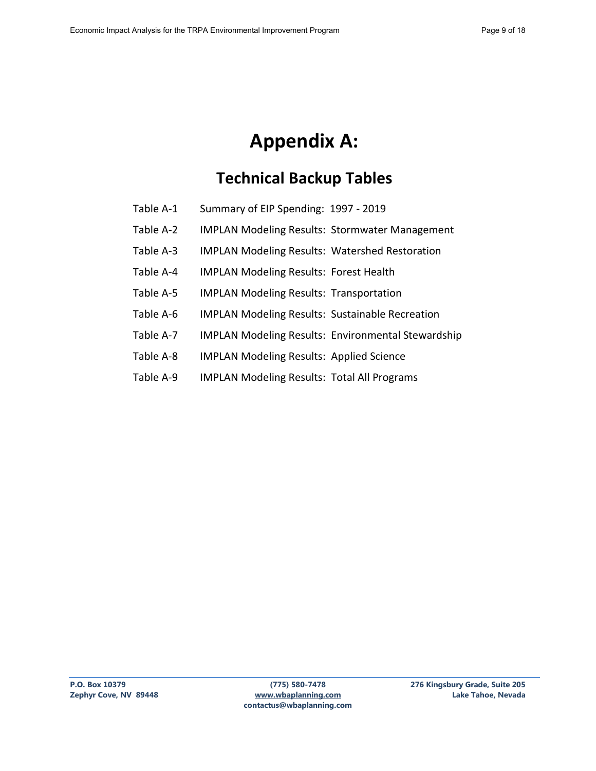# **Appendix A:**

## **Technical Backup Tables**

- Table A-1 Summary of EIP Spending: 1997 2019
- Table A-2 IMPLAN Modeling Results: Stormwater Management
- Table A-3 IMPLAN Modeling Results: Watershed Restoration
- Table A-4 IMPLAN Modeling Results: Forest Health
- Table A-5 IMPLAN Modeling Results: Transportation
- Table A-6 IMPLAN Modeling Results: Sustainable Recreation
- Table A-7 IMPLAN Modeling Results: Environmental Stewardship
- Table A-8 IMPLAN Modeling Results: Applied Science
- Table A-9 IMPLAN Modeling Results: Total All Programs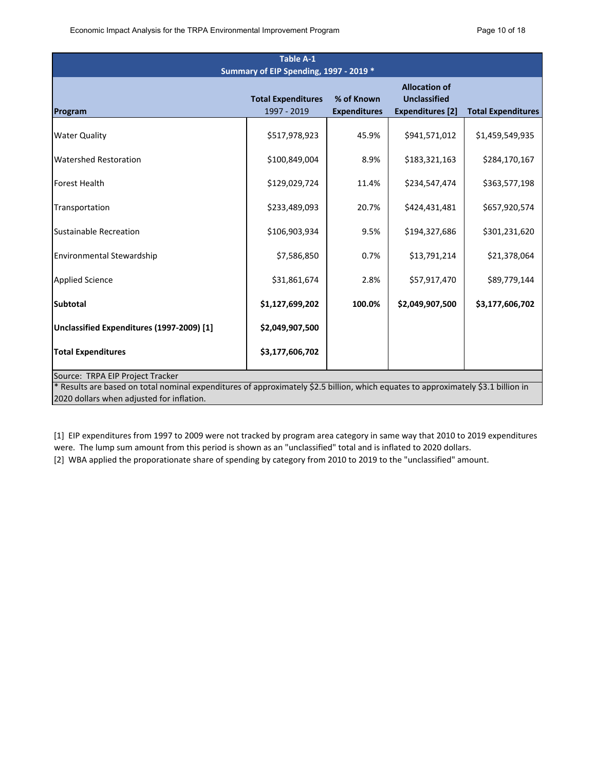| <b>Table A-1</b>                                                                                                                  |                                          |                                   |                                                                        |                           |  |
|-----------------------------------------------------------------------------------------------------------------------------------|------------------------------------------|-----------------------------------|------------------------------------------------------------------------|---------------------------|--|
| Summary of EIP Spending, 1997 - 2019 *                                                                                            |                                          |                                   |                                                                        |                           |  |
| Program                                                                                                                           | <b>Total Expenditures</b><br>1997 - 2019 | % of Known<br><b>Expenditures</b> | <b>Allocation of</b><br><b>Unclassified</b><br><b>Expenditures</b> [2] | <b>Total Expenditures</b> |  |
|                                                                                                                                   |                                          |                                   |                                                                        |                           |  |
| <b>Water Quality</b>                                                                                                              | \$517,978,923                            | 45.9%                             | \$941,571,012                                                          | \$1,459,549,935           |  |
| <b>Watershed Restoration</b>                                                                                                      | \$100,849,004                            | 8.9%                              | \$183,321,163                                                          | \$284,170,167             |  |
| <b>Forest Health</b>                                                                                                              | \$129,029,724                            | 11.4%                             | \$234,547,474                                                          | \$363,577,198             |  |
| Transportation                                                                                                                    | \$233,489,093                            | 20.7%                             | \$424,431,481                                                          | \$657,920,574             |  |
| Sustainable Recreation                                                                                                            | \$106,903,934                            | 9.5%                              | \$194,327,686                                                          | \$301,231,620             |  |
| Environmental Stewardship                                                                                                         | \$7,586,850                              | 0.7%                              | \$13,791,214                                                           | \$21,378,064              |  |
| <b>Applied Science</b>                                                                                                            | \$31,861,674                             | 2.8%                              | \$57,917,470                                                           | \$89,779,144              |  |
| <b>Subtotal</b>                                                                                                                   | \$1,127,699,202                          | 100.0%                            | \$2,049,907,500                                                        | \$3,177,606,702           |  |
| Unclassified Expenditures (1997-2009) [1]                                                                                         | \$2,049,907,500                          |                                   |                                                                        |                           |  |
| <b>Total Expenditures</b>                                                                                                         | \$3,177,606,702                          |                                   |                                                                        |                           |  |
| Source: TRPA EIP Project Tracker                                                                                                  |                                          |                                   |                                                                        |                           |  |
| * Results are based on total nominal expenditures of approximately \$2.5 billion, which equates to approximately \$3.1 billion in |                                          |                                   |                                                                        |                           |  |
| 2020 dollars when adjusted for inflation.                                                                                         |                                          |                                   |                                                                        |                           |  |

[1] EIP expenditures from 1997 to 2009 were not tracked by program area category in same way that 2010 to 2019 expenditures were. The lump sum amount from this period is shown as an "unclassified" total and is inflated to 2020 dollars.

[2] WBA applied the proporationate share of spending by category from 2010 to 2019 to the "unclassified" amount.